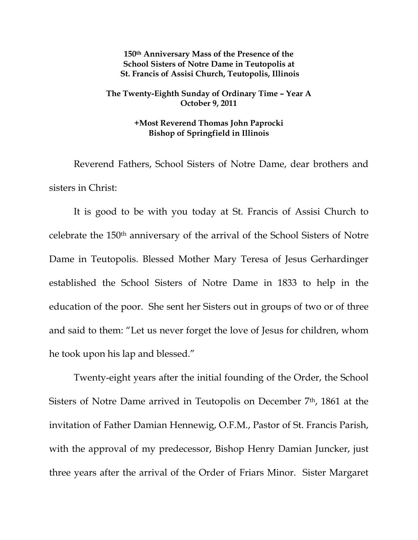**150th Anniversary Mass of the Presence of the School Sisters of Notre Dame in Teutopolis at St. Francis of Assisi Church, Teutopolis, Illinois** 

## **The Twenty-Eighth Sunday of Ordinary Time – Year A October 9, 2011**

## **+Most Reverend Thomas John Paprocki Bishop of Springfield in Illinois**

 Reverend Fathers, School Sisters of Notre Dame, dear brothers and sisters in Christ:

 It is good to be with you today at St. Francis of Assisi Church to celebrate the 150th anniversary of the arrival of the School Sisters of Notre Dame in Teutopolis. Blessed Mother Mary Teresa of Jesus Gerhardinger established the School Sisters of Notre Dame in 1833 to help in the education of the poor. She sent her Sisters out in groups of two or of three and said to them: "Let us never forget the love of Jesus for children, whom he took upon his lap and blessed."

 Twenty-eight years after the initial founding of the Order, the School Sisters of Notre Dame arrived in Teutopolis on December 7th, 1861 at the invitation of Father Damian Hennewig, O.F.M., Pastor of St. Francis Parish, with the approval of my predecessor, Bishop Henry Damian Juncker, just three years after the arrival of the Order of Friars Minor. Sister Margaret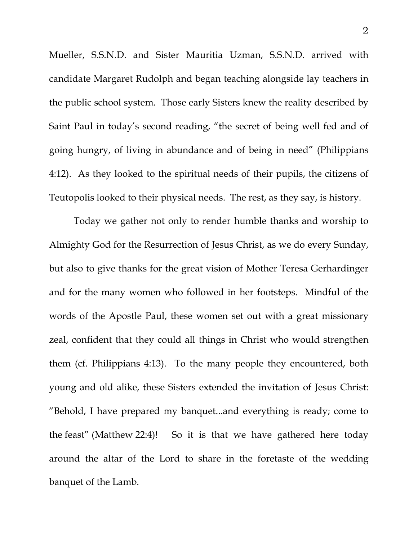Mueller, S.S.N.D. and Sister Mauritia Uzman, S.S.N.D. arrived with candidate Margaret Rudolph and began teaching alongside lay teachers in the public school system. Those early Sisters knew the reality described by Saint Paul in today's second reading, "the secret of being well fed and of going hungry, of living in abundance and of being in need" (Philippians 4:12). As they looked to the spiritual needs of their pupils, the citizens of Teutopolis looked to their physical needs. The rest, as they say, is history.

 Today we gather not only to render humble thanks and worship to Almighty God for the Resurrection of Jesus Christ, as we do every Sunday, but also to give thanks for the great vision of Mother Teresa Gerhardinger and for the many women who followed in her footsteps. Mindful of the words of the Apostle Paul, these women set out with a great missionary zeal, confident that they could all things in Christ who would strengthen them (cf. Philippians 4:13). To the many people they encountered, both young and old alike, these Sisters extended the invitation of Jesus Christ: "Behold, I have prepared my banquet...and everything is ready; come to the feast" (Matthew 22:4)! So it is that we have gathered here today around the altar of the Lord to share in the foretaste of the wedding banquet of the Lamb.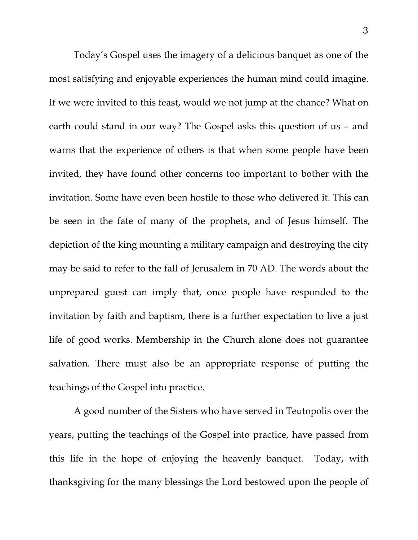Today's Gospel uses the imagery of a delicious banquet as one of the most satisfying and enjoyable experiences the human mind could imagine. If we were invited to this feast, would we not jump at the chance? What on earth could stand in our way? The Gospel asks this question of us – and warns that the experience of others is that when some people have been invited, they have found other concerns too important to bother with the invitation. Some have even been hostile to those who delivered it. This can be seen in the fate of many of the prophets, and of Jesus himself. The depiction of the king mounting a military campaign and destroying the city may be said to refer to the fall of Jerusalem in 70 AD. The words about the unprepared guest can imply that, once people have responded to the invitation by faith and baptism, there is a further expectation to live a just life of good works. Membership in the Church alone does not guarantee salvation. There must also be an appropriate response of putting the teachings of the Gospel into practice.

 A good number of the Sisters who have served in Teutopolis over the years, putting the teachings of the Gospel into practice, have passed from this life in the hope of enjoying the heavenly banquet. Today, with thanksgiving for the many blessings the Lord bestowed upon the people of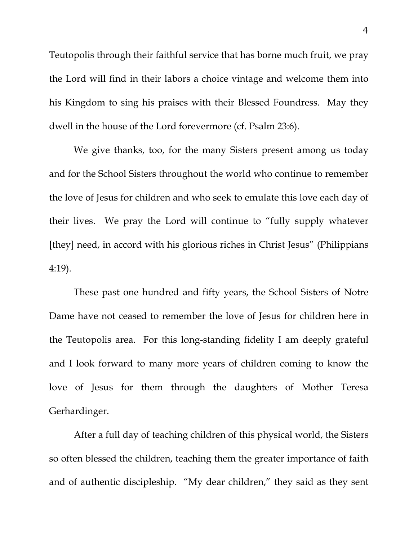Teutopolis through their faithful service that has borne much fruit, we pray the Lord will find in their labors a choice vintage and welcome them into his Kingdom to sing his praises with their Blessed Foundress. May they dwell in the house of the Lord forevermore (cf. Psalm 23:6).

 We give thanks, too, for the many Sisters present among us today and for the School Sisters throughout the world who continue to remember the love of Jesus for children and who seek to emulate this love each day of their lives. We pray the Lord will continue to "fully supply whatever [they] need, in accord with his glorious riches in Christ Jesus" (Philippians 4:19).

These past one hundred and fifty years, the School Sisters of Notre Dame have not ceased to remember the love of Jesus for children here in the Teutopolis area. For this long-standing fidelity I am deeply grateful and I look forward to many more years of children coming to know the love of Jesus for them through the daughters of Mother Teresa Gerhardinger.

After a full day of teaching children of this physical world, the Sisters so often blessed the children, teaching them the greater importance of faith and of authentic discipleship. "My dear children," they said as they sent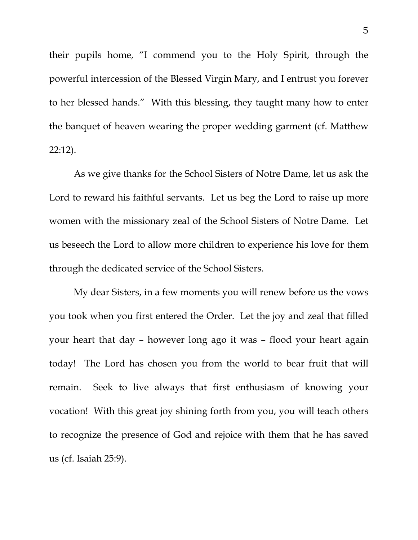their pupils home, "I commend you to the Holy Spirit, through the powerful intercession of the Blessed Virgin Mary, and I entrust you forever to her blessed hands." With this blessing, they taught many how to enter the banquet of heaven wearing the proper wedding garment (cf. Matthew 22:12).

 As we give thanks for the School Sisters of Notre Dame, let us ask the Lord to reward his faithful servants. Let us beg the Lord to raise up more women with the missionary zeal of the School Sisters of Notre Dame. Let us beseech the Lord to allow more children to experience his love for them through the dedicated service of the School Sisters.

 My dear Sisters, in a few moments you will renew before us the vows you took when you first entered the Order. Let the joy and zeal that filled your heart that day – however long ago it was – flood your heart again today! The Lord has chosen you from the world to bear fruit that will remain. Seek to live always that first enthusiasm of knowing your vocation! With this great joy shining forth from you, you will teach others to recognize the presence of God and rejoice with them that he has saved us (cf. Isaiah 25:9).